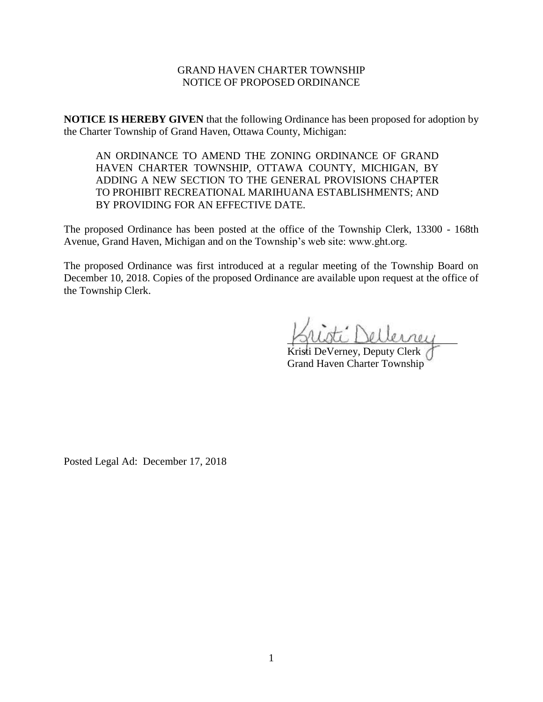## GRAND HAVEN CHARTER TOWNSHIP NOTICE OF PROPOSED ORDINANCE

**NOTICE IS HEREBY GIVEN** that the following Ordinance has been proposed for adoption by the Charter Township of Grand Haven, Ottawa County, Michigan:

AN ORDINANCE TO AMEND THE ZONING ORDINANCE OF GRAND HAVEN CHARTER TOWNSHIP, OTTAWA COUNTY, MICHIGAN, BY ADDING A NEW SECTION TO THE GENERAL PROVISIONS CHAPTER TO PROHIBIT RECREATIONAL MARIHUANA ESTABLISHMENTS; AND BY PROVIDING FOR AN EFFECTIVE DATE.

The proposed Ordinance has been posted at the office of the Township Clerk, 13300 - 168th Avenue, Grand Haven, Michigan and on the Township's web site: www.ght.org.

The proposed Ordinance was first introduced at a regular meeting of the Township Board on December 10, 2018. Copies of the proposed Ordinance are available upon request at the office of the Township Clerk.

\_\_\_\_\_\_\_\_\_\_\_\_\_\_\_\_\_\_\_\_\_\_\_\_\_\_\_\_\_\_\_\_

Kristi DeVerney, Deputy Clerk Grand Haven Charter Township

Posted Legal Ad: December 17, 2018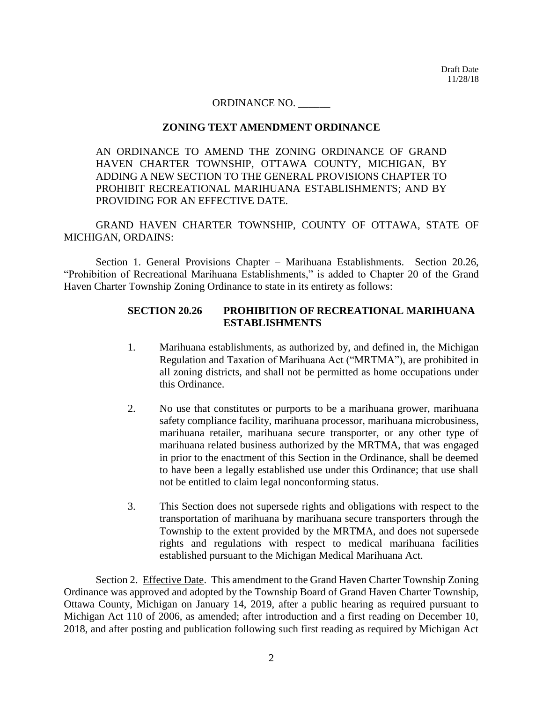Draft Date 11/28/18

#### ORDINANCE NO. \_\_\_\_\_\_

#### **ZONING TEXT AMENDMENT ORDINANCE**

AN ORDINANCE TO AMEND THE ZONING ORDINANCE OF GRAND HAVEN CHARTER TOWNSHIP, OTTAWA COUNTY, MICHIGAN, BY ADDING A NEW SECTION TO THE GENERAL PROVISIONS CHAPTER TO PROHIBIT RECREATIONAL MARIHUANA ESTABLISHMENTS; AND BY PROVIDING FOR AN EFFECTIVE DATE.

GRAND HAVEN CHARTER TOWNSHIP, COUNTY OF OTTAWA, STATE OF MICHIGAN, ORDAINS:

Section 1. General Provisions Chapter – Marihuana Establishments. Section 20.26, "Prohibition of Recreational Marihuana Establishments," is added to Chapter 20 of the Grand Haven Charter Township Zoning Ordinance to state in its entirety as follows:

# **SECTION 20.26 PROHIBITION OF RECREATIONAL MARIHUANA ESTABLISHMENTS**

- 1. Marihuana establishments, as authorized by, and defined in, the Michigan Regulation and Taxation of Marihuana Act ("MRTMA"), are prohibited in all zoning districts, and shall not be permitted as home occupations under this Ordinance.
- 2. No use that constitutes or purports to be a marihuana grower, marihuana safety compliance facility, marihuana processor, marihuana microbusiness, marihuana retailer, marihuana secure transporter, or any other type of marihuana related business authorized by the MRTMA, that was engaged in prior to the enactment of this Section in the Ordinance, shall be deemed to have been a legally established use under this Ordinance; that use shall not be entitled to claim legal nonconforming status.
- 3. This Section does not supersede rights and obligations with respect to the transportation of marihuana by marihuana secure transporters through the Township to the extent provided by the MRTMA, and does not supersede rights and regulations with respect to medical marihuana facilities established pursuant to the Michigan Medical Marihuana Act.

Section 2. Effective Date. This amendment to the Grand Haven Charter Township Zoning Ordinance was approved and adopted by the Township Board of Grand Haven Charter Township, Ottawa County, Michigan on January 14, 2019, after a public hearing as required pursuant to Michigan Act 110 of 2006, as amended; after introduction and a first reading on December 10, 2018, and after posting and publication following such first reading as required by Michigan Act